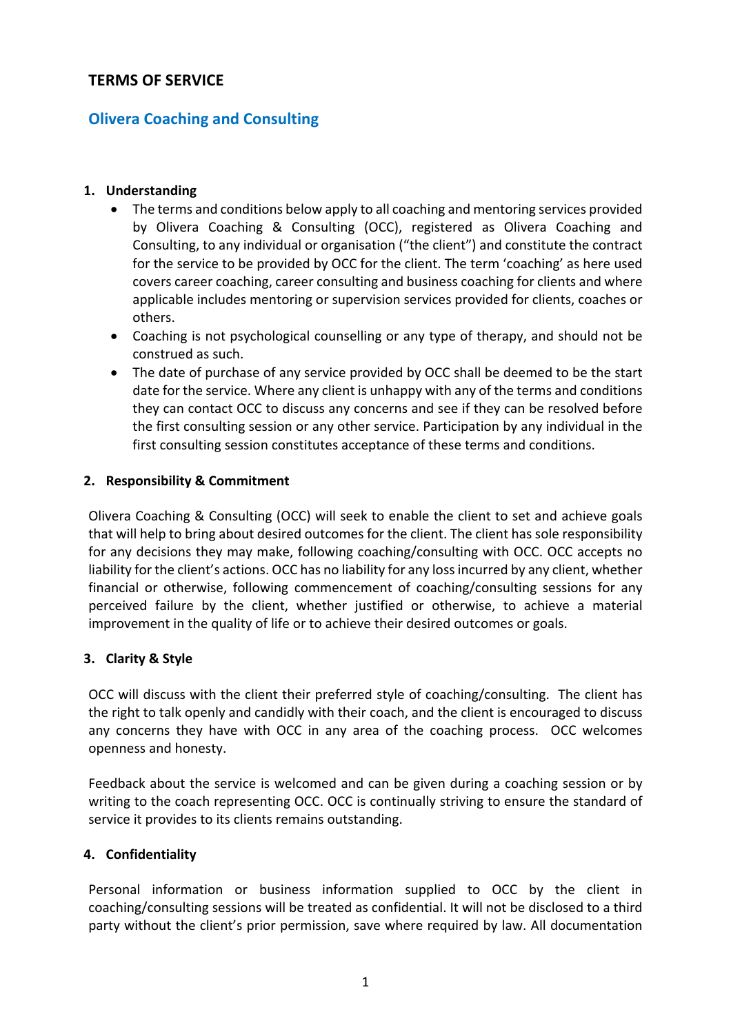# **TERMS OF SERVICE**

# **Olivera Coaching and Consulting**

#### **1. Understanding**

- The terms and conditions below apply to all coaching and mentoring services provided by Olivera Coaching & Consulting (OCC), registered as Olivera Coaching and Consulting, to any individual or organisation ("the client") and constitute the contract for the service to be provided by OCC for the client. The term 'coaching' as here used covers career coaching, career consulting and business coaching for clients and where applicable includes mentoring or supervision services provided for clients, coaches or others.
- Coaching is not psychological counselling or any type of therapy, and should not be construed as such.
- The date of purchase of any service provided by OCC shall be deemed to be the start date for the service. Where any client is unhappy with any of the terms and conditions they can contact OCC to discuss any concerns and see if they can be resolved before the first consulting session or any other service. Participation by any individual in the first consulting session constitutes acceptance of these terms and conditions.

#### **2. Responsibility & Commitment**

Olivera Coaching & Consulting (OCC) will seek to enable the client to set and achieve goals that will help to bring about desired outcomes for the client. The client has sole responsibility for any decisions they may make, following coaching/consulting with OCC. OCC accepts no liability for the client's actions. OCC has no liability for any loss incurred by any client, whether financial or otherwise, following commencement of coaching/consulting sessions for any perceived failure by the client, whether justified or otherwise, to achieve a material improvement in the quality of life or to achieve their desired outcomes or goals.

#### **3. Clarity & Style**

OCC will discuss with the client their preferred style of coaching/consulting. The client has the right to talk openly and candidly with their coach, and the client is encouraged to discuss any concerns they have with OCC in any area of the coaching process. OCC welcomes openness and honesty.

Feedback about the service is welcomed and can be given during a coaching session or by writing to the coach representing OCC. OCC is continually striving to ensure the standard of service it provides to its clients remains outstanding.

### **4. Confidentiality**

Personal information or business information supplied to OCC by the client in coaching/consulting sessions will be treated as confidential. It will not be disclosed to a third party without the client's prior permission, save where required by law. All documentation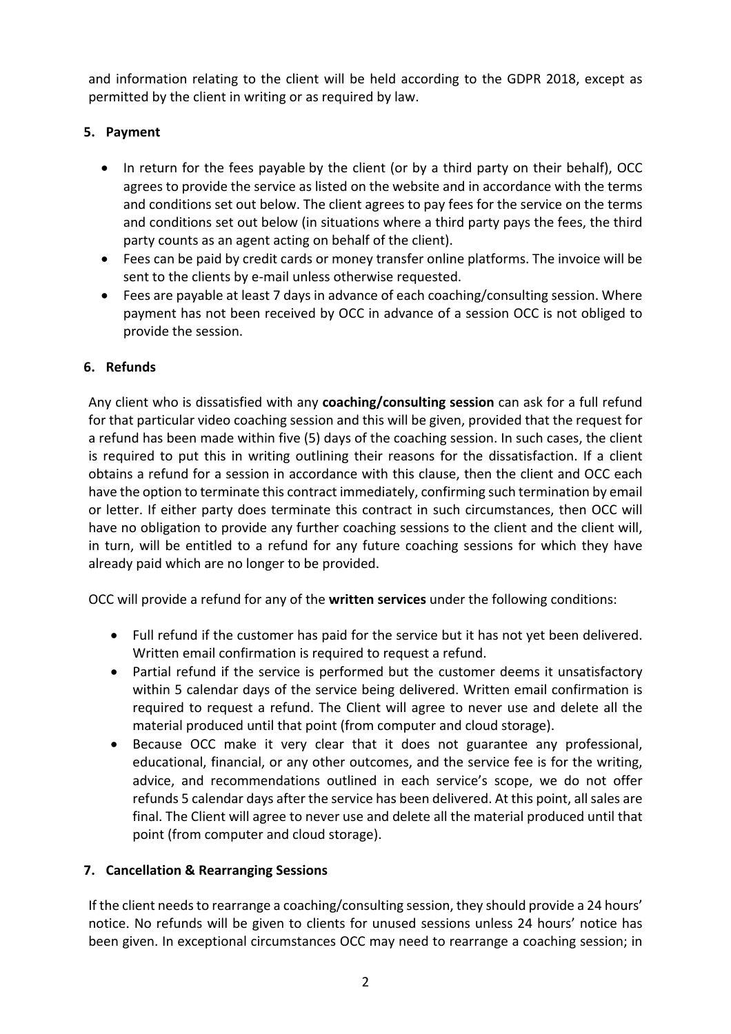and information relating to the client will be held according to the GDPR 2018, except as permitted by the client in writing or as required by law.

# **5. Payment**

- In return for the fees payable by the client (or by a third party on their behalf), OCC agrees to provide the service as listed on the website and in accordance with the terms and conditions set out below. The client agrees to pay fees for the service on the terms and conditions set out below (in situations where a third party pays the fees, the third party counts as an agent acting on behalf of the client).
- Fees can be paid by credit cards or money transfer online platforms. The invoice will be sent to the clients by e-mail unless otherwise requested.
- Fees are payable at least 7 days in advance of each coaching/consulting session. Where payment has not been received by OCC in advance of a session OCC is not obliged to provide the session.

# **6. Refunds**

Any client who is dissatisfied with any **coaching/consulting session** can ask for a full refund for that particular video coaching session and this will be given, provided that the request for a refund has been made within five (5) days of the coaching session. In such cases, the client is required to put this in writing outlining their reasons for the dissatisfaction. If a client obtains a refund for a session in accordance with this clause, then the client and OCC each have the option to terminate this contract immediately, confirming such termination by email or letter. If either party does terminate this contract in such circumstances, then OCC will have no obligation to provide any further coaching sessions to the client and the client will, in turn, will be entitled to a refund for any future coaching sessions for which they have already paid which are no longer to be provided.

OCC will provide a refund for any of the **written services** under the following conditions:

- Full refund if the customer has paid for the service but it has not yet been delivered. Written email confirmation is required to request a refund.
- Partial refund if the service is performed but the customer deems it unsatisfactory within 5 calendar days of the service being delivered. Written email confirmation is required to request a refund. The Client will agree to never use and delete all the material produced until that point (from computer and cloud storage).
- Because OCC make it very clear that it does not guarantee any professional, educational, financial, or any other outcomes, and the service fee is for the writing, advice, and recommendations outlined in each service's scope, we do not offer refunds 5 calendar days after the service has been delivered. At this point, all sales are final. The Client will agree to never use and delete all the material produced until that point (from computer and cloud storage).

# **7. Cancellation & Rearranging Sessions**

If the client needs to rearrange a coaching/consulting session, they should provide a 24 hours' notice. No refunds will be given to clients for unused sessions unless 24 hours' notice has been given. In exceptional circumstances OCC may need to rearrange a coaching session; in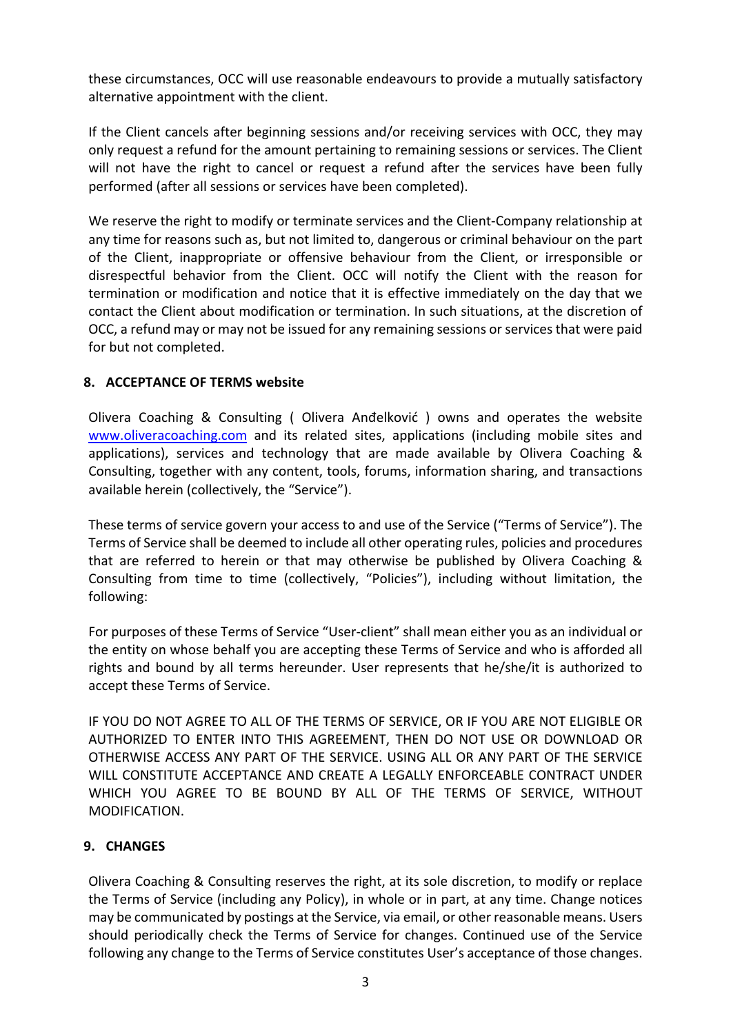these circumstances, OCC will use reasonable endeavours to provide a mutually satisfactory alternative appointment with the client.

If the Client cancels after beginning sessions and/or receiving services with OCC, they may only request a refund for the amount pertaining to remaining sessions or services. The Client will not have the right to cancel or request a refund after the services have been fully performed (after all sessions or services have been completed).

We reserve the right to modify or terminate services and the Client-Company relationship at any time for reasons such as, but not limited to, dangerous or criminal behaviour on the part of the Client, inappropriate or offensive behaviour from the Client, or irresponsible or disrespectful behavior from the Client. OCC will notify the Client with the reason for termination or modification and notice that it is effective immediately on the day that we contact the Client about modification or termination. In such situations, at the discretion of OCC, a refund may or may not be issued for any remaining sessions or services that were paid for but not completed.

### **8. ACCEPTANCE OF TERMS website**

Olivera Coaching & Consulting ( Olivera Anđelković ) owns and operates the website www.oliveracoaching.com and its related sites, applications (including mobile sites and applications), services and technology that are made available by Olivera Coaching & Consulting, together with any content, tools, forums, information sharing, and transactions available herein (collectively, the "Service").

These terms of service govern your access to and use of the Service ("Terms of Service"). The Terms of Service shall be deemed to include all other operating rules, policies and procedures that are referred to herein or that may otherwise be published by Olivera Coaching & Consulting from time to time (collectively, "Policies"), including without limitation, the following:

For purposes of these Terms of Service "User-client" shall mean either you as an individual or the entity on whose behalf you are accepting these Terms of Service and who is afforded all rights and bound by all terms hereunder. User represents that he/she/it is authorized to accept these Terms of Service.

IF YOU DO NOT AGREE TO ALL OF THE TERMS OF SERVICE, OR IF YOU ARE NOT ELIGIBLE OR AUTHORIZED TO ENTER INTO THIS AGREEMENT, THEN DO NOT USE OR DOWNLOAD OR OTHERWISE ACCESS ANY PART OF THE SERVICE. USING ALL OR ANY PART OF THE SERVICE WILL CONSTITUTE ACCEPTANCE AND CREATE A LEGALLY ENFORCEABLE CONTRACT UNDER WHICH YOU AGREE TO BE BOUND BY ALL OF THE TERMS OF SERVICE, WITHOUT MODIFICATION.

### **9. CHANGES**

Olivera Coaching & Consulting reserves the right, at its sole discretion, to modify or replace the Terms of Service (including any Policy), in whole or in part, at any time. Change notices may be communicated by postings at the Service, via email, or other reasonable means. Users should periodically check the Terms of Service for changes. Continued use of the Service following any change to the Terms of Service constitutes User's acceptance of those changes.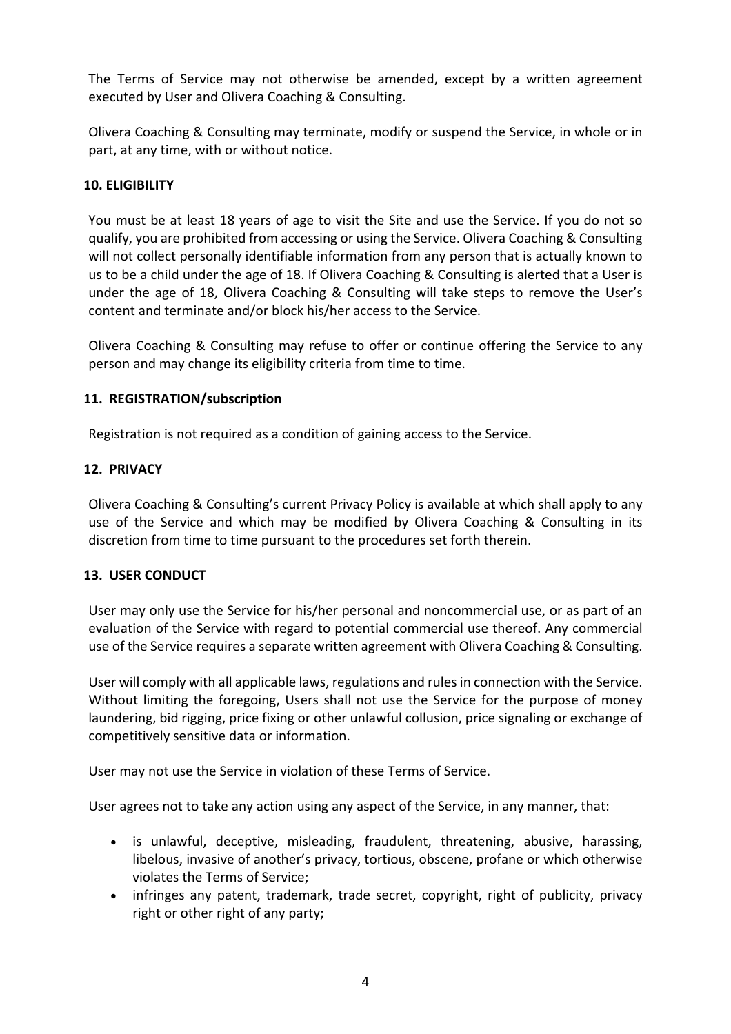The Terms of Service may not otherwise be amended, except by a written agreement executed by User and Olivera Coaching & Consulting.

Olivera Coaching & Consulting may terminate, modify or suspend the Service, in whole or in part, at any time, with or without notice.

## **10. ELIGIBILITY**

You must be at least 18 years of age to visit the Site and use the Service. If you do not so qualify, you are prohibited from accessing or using the Service. Olivera Coaching & Consulting will not collect personally identifiable information from any person that is actually known to us to be a child under the age of 18. If Olivera Coaching & Consulting is alerted that a User is under the age of 18, Olivera Coaching & Consulting will take steps to remove the User's content and terminate and/or block his/her access to the Service.

Olivera Coaching & Consulting may refuse to offer or continue offering the Service to any person and may change its eligibility criteria from time to time.

### **11. REGISTRATION/subscription**

Registration is not required as a condition of gaining access to the Service.

### **12. PRIVACY**

Olivera Coaching & Consulting's current Privacy Policy is available at which shall apply to any use of the Service and which may be modified by Olivera Coaching & Consulting in its discretion from time to time pursuant to the procedures set forth therein.

### **13. USER CONDUCT**

User may only use the Service for his/her personal and noncommercial use, or as part of an evaluation of the Service with regard to potential commercial use thereof. Any commercial use of the Service requires a separate written agreement with Olivera Coaching & Consulting.

User will comply with all applicable laws, regulations and rules in connection with the Service. Without limiting the foregoing, Users shall not use the Service for the purpose of money laundering, bid rigging, price fixing or other unlawful collusion, price signaling or exchange of competitively sensitive data or information.

User may not use the Service in violation of these Terms of Service.

User agrees not to take any action using any aspect of the Service, in any manner, that:

- is unlawful, deceptive, misleading, fraudulent, threatening, abusive, harassing, libelous, invasive of another's privacy, tortious, obscene, profane or which otherwise violates the Terms of Service;
- infringes any patent, trademark, trade secret, copyright, right of publicity, privacy right or other right of any party;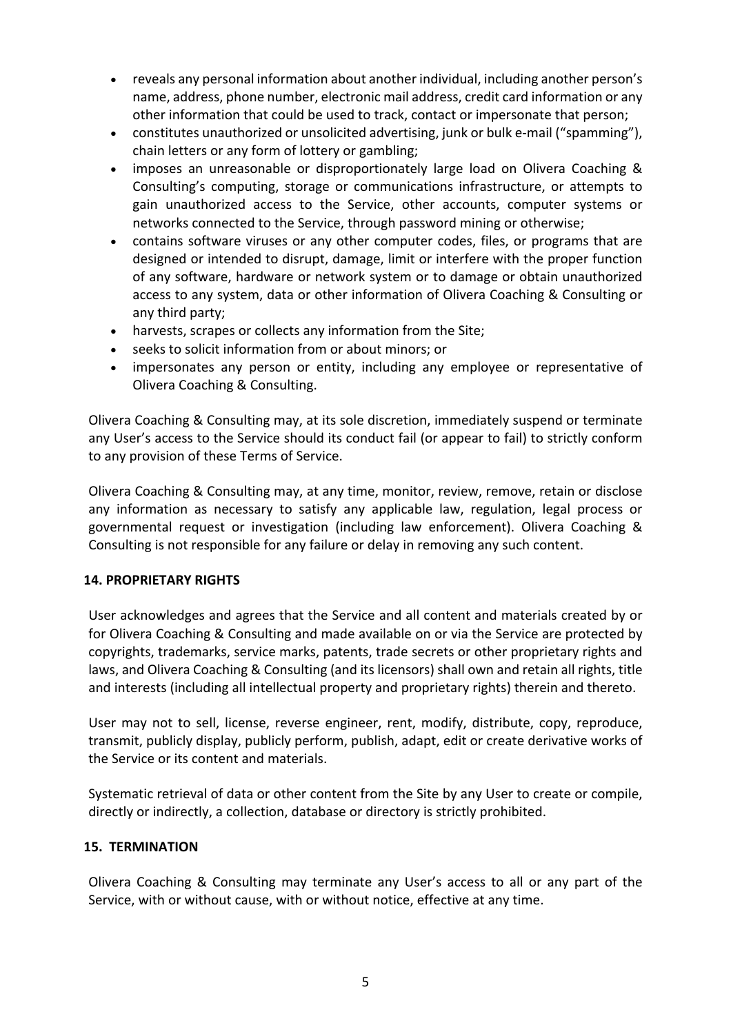- reveals any personal information about another individual, including another person's name, address, phone number, electronic mail address, credit card information or any other information that could be used to track, contact or impersonate that person;
- constitutes unauthorized or unsolicited advertising, junk or bulk e-mail ("spamming"), chain letters or any form of lottery or gambling;
- imposes an unreasonable or disproportionately large load on Olivera Coaching & Consulting's computing, storage or communications infrastructure, or attempts to gain unauthorized access to the Service, other accounts, computer systems or networks connected to the Service, through password mining or otherwise;
- contains software viruses or any other computer codes, files, or programs that are designed or intended to disrupt, damage, limit or interfere with the proper function of any software, hardware or network system or to damage or obtain unauthorized access to any system, data or other information of Olivera Coaching & Consulting or any third party;
- harvests, scrapes or collects any information from the Site;
- seeks to solicit information from or about minors; or
- impersonates any person or entity, including any employee or representative of Olivera Coaching & Consulting.

Olivera Coaching & Consulting may, at its sole discretion, immediately suspend or terminate any User's access to the Service should its conduct fail (or appear to fail) to strictly conform to any provision of these Terms of Service.

Olivera Coaching & Consulting may, at any time, monitor, review, remove, retain or disclose any information as necessary to satisfy any applicable law, regulation, legal process or governmental request or investigation (including law enforcement). Olivera Coaching & Consulting is not responsible for any failure or delay in removing any such content.

### **14. PROPRIETARY RIGHTS**

User acknowledges and agrees that the Service and all content and materials created by or for Olivera Coaching & Consulting and made available on or via the Service are protected by copyrights, trademarks, service marks, patents, trade secrets or other proprietary rights and laws, and Olivera Coaching & Consulting (and its licensors) shall own and retain all rights, title and interests (including all intellectual property and proprietary rights) therein and thereto.

User may not to sell, license, reverse engineer, rent, modify, distribute, copy, reproduce, transmit, publicly display, publicly perform, publish, adapt, edit or create derivative works of the Service or its content and materials.

Systematic retrieval of data or other content from the Site by any User to create or compile, directly or indirectly, a collection, database or directory is strictly prohibited.

### **15. TERMINATION**

Olivera Coaching & Consulting may terminate any User's access to all or any part of the Service, with or without cause, with or without notice, effective at any time.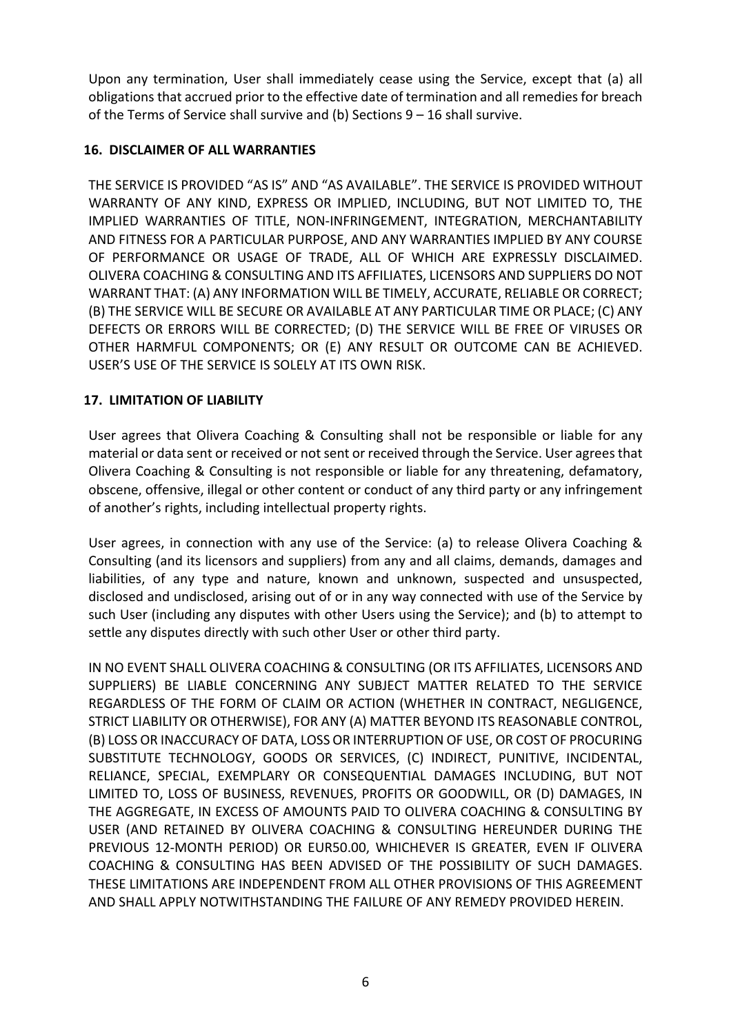Upon any termination, User shall immediately cease using the Service, except that (a) all obligations that accrued prior to the effective date of termination and all remedies for breach of the Terms of Service shall survive and (b) Sections 9 – 16 shall survive.

## **16. DISCLAIMER OF ALL WARRANTIES**

THE SERVICE IS PROVIDED "AS IS" AND "AS AVAILABLE". THE SERVICE IS PROVIDED WITHOUT WARRANTY OF ANY KIND, EXPRESS OR IMPLIED, INCLUDING, BUT NOT LIMITED TO, THE IMPLIED WARRANTIES OF TITLE, NON-INFRINGEMENT, INTEGRATION, MERCHANTABILITY AND FITNESS FOR A PARTICULAR PURPOSE, AND ANY WARRANTIES IMPLIED BY ANY COURSE OF PERFORMANCE OR USAGE OF TRADE, ALL OF WHICH ARE EXPRESSLY DISCLAIMED. OLIVERA COACHING & CONSULTING AND ITS AFFILIATES, LICENSORS AND SUPPLIERS DO NOT WARRANT THAT: (A) ANY INFORMATION WILL BE TIMELY, ACCURATE, RELIABLE OR CORRECT; (B) THE SERVICE WILL BE SECURE OR AVAILABLE AT ANY PARTICULAR TIME OR PLACE; (C) ANY DEFECTS OR ERRORS WILL BE CORRECTED; (D) THE SERVICE WILL BE FREE OF VIRUSES OR OTHER HARMFUL COMPONENTS; OR (E) ANY RESULT OR OUTCOME CAN BE ACHIEVED. USER'S USE OF THE SERVICE IS SOLELY AT ITS OWN RISK.

# **17. LIMITATION OF LIABILITY**

User agrees that Olivera Coaching & Consulting shall not be responsible or liable for any material or data sent or received or not sent or received through the Service. User agrees that Olivera Coaching & Consulting is not responsible or liable for any threatening, defamatory, obscene, offensive, illegal or other content or conduct of any third party or any infringement of another's rights, including intellectual property rights.

User agrees, in connection with any use of the Service: (a) to release Olivera Coaching & Consulting (and its licensors and suppliers) from any and all claims, demands, damages and liabilities, of any type and nature, known and unknown, suspected and unsuspected, disclosed and undisclosed, arising out of or in any way connected with use of the Service by such User (including any disputes with other Users using the Service); and (b) to attempt to settle any disputes directly with such other User or other third party.

IN NO EVENT SHALL OLIVERA COACHING & CONSULTING (OR ITS AFFILIATES, LICENSORS AND SUPPLIERS) BE LIABLE CONCERNING ANY SUBJECT MATTER RELATED TO THE SERVICE REGARDLESS OF THE FORM OF CLAIM OR ACTION (WHETHER IN CONTRACT, NEGLIGENCE, STRICT LIABILITY OR OTHERWISE), FOR ANY (A) MATTER BEYOND ITS REASONABLE CONTROL, (B) LOSS OR INACCURACY OF DATA, LOSS OR INTERRUPTION OF USE, OR COST OF PROCURING SUBSTITUTE TECHNOLOGY, GOODS OR SERVICES, (C) INDIRECT, PUNITIVE, INCIDENTAL, RELIANCE, SPECIAL, EXEMPLARY OR CONSEQUENTIAL DAMAGES INCLUDING, BUT NOT LIMITED TO, LOSS OF BUSINESS, REVENUES, PROFITS OR GOODWILL, OR (D) DAMAGES, IN THE AGGREGATE, IN EXCESS OF AMOUNTS PAID TO OLIVERA COACHING & CONSULTING BY USER (AND RETAINED BY OLIVERA COACHING & CONSULTING HEREUNDER DURING THE PREVIOUS 12-MONTH PERIOD) OR EUR50.00, WHICHEVER IS GREATER, EVEN IF OLIVERA COACHING & CONSULTING HAS BEEN ADVISED OF THE POSSIBILITY OF SUCH DAMAGES. THESE LIMITATIONS ARE INDEPENDENT FROM ALL OTHER PROVISIONS OF THIS AGREEMENT AND SHALL APPLY NOTWITHSTANDING THE FAILURE OF ANY REMEDY PROVIDED HEREIN.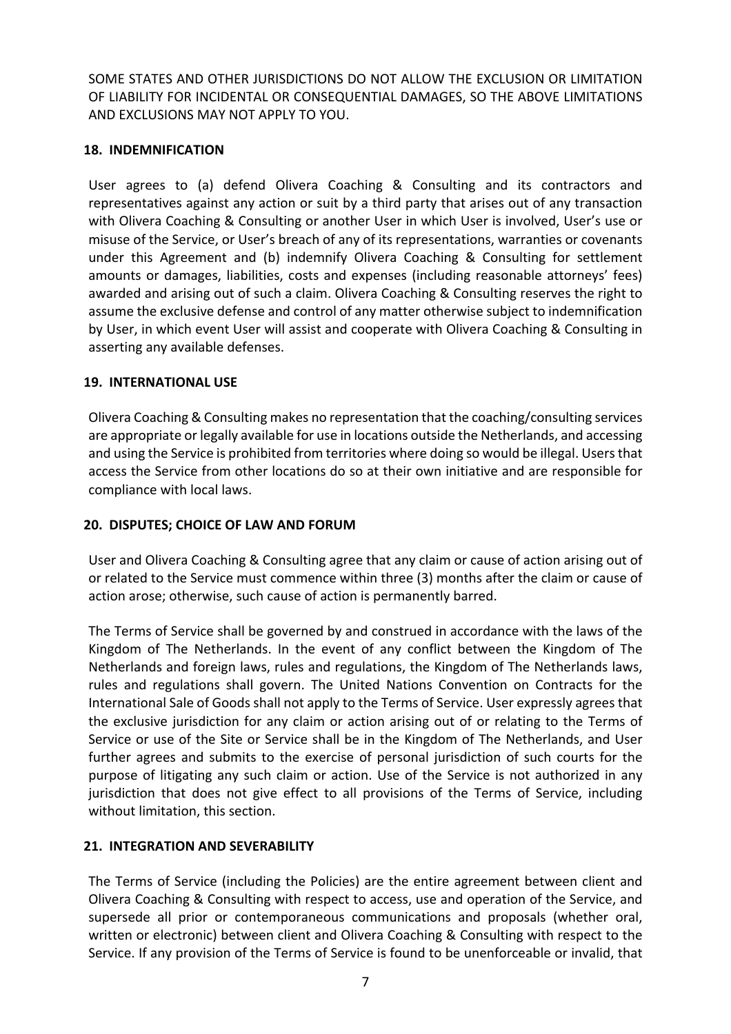SOME STATES AND OTHER JURISDICTIONS DO NOT ALLOW THE EXCLUSION OR LIMITATION OF LIABILITY FOR INCIDENTAL OR CONSEQUENTIAL DAMAGES, SO THE ABOVE LIMITATIONS AND EXCLUSIONS MAY NOT APPLY TO YOU.

## **18. INDEMNIFICATION**

User agrees to (a) defend Olivera Coaching & Consulting and its contractors and representatives against any action or suit by a third party that arises out of any transaction with Olivera Coaching & Consulting or another User in which User is involved, User's use or misuse of the Service, or User's breach of any of its representations, warranties or covenants under this Agreement and (b) indemnify Olivera Coaching & Consulting for settlement amounts or damages, liabilities, costs and expenses (including reasonable attorneys' fees) awarded and arising out of such a claim. Olivera Coaching & Consulting reserves the right to assume the exclusive defense and control of any matter otherwise subject to indemnification by User, in which event User will assist and cooperate with Olivera Coaching & Consulting in asserting any available defenses.

# **19. INTERNATIONAL USE**

Olivera Coaching & Consulting makes no representation that the coaching/consulting services are appropriate or legally available for use in locations outside the Netherlands, and accessing and using the Service is prohibited from territories where doing so would be illegal. Users that access the Service from other locations do so at their own initiative and are responsible for compliance with local laws.

## **20. DISPUTES; CHOICE OF LAW AND FORUM**

User and Olivera Coaching & Consulting agree that any claim or cause of action arising out of or related to the Service must commence within three (3) months after the claim or cause of action arose; otherwise, such cause of action is permanently barred.

The Terms of Service shall be governed by and construed in accordance with the laws of the Kingdom of The Netherlands. In the event of any conflict between the Kingdom of The Netherlands and foreign laws, rules and regulations, the Kingdom of The Netherlands laws, rules and regulations shall govern. The United Nations Convention on Contracts for the International Sale of Goods shall not apply to the Terms of Service. User expressly agrees that the exclusive jurisdiction for any claim or action arising out of or relating to the Terms of Service or use of the Site or Service shall be in the Kingdom of The Netherlands, and User further agrees and submits to the exercise of personal jurisdiction of such courts for the purpose of litigating any such claim or action. Use of the Service is not authorized in any jurisdiction that does not give effect to all provisions of the Terms of Service, including without limitation, this section.

# **21. INTEGRATION AND SEVERABILITY**

The Terms of Service (including the Policies) are the entire agreement between client and Olivera Coaching & Consulting with respect to access, use and operation of the Service, and supersede all prior or contemporaneous communications and proposals (whether oral, written or electronic) between client and Olivera Coaching & Consulting with respect to the Service. If any provision of the Terms of Service is found to be unenforceable or invalid, that